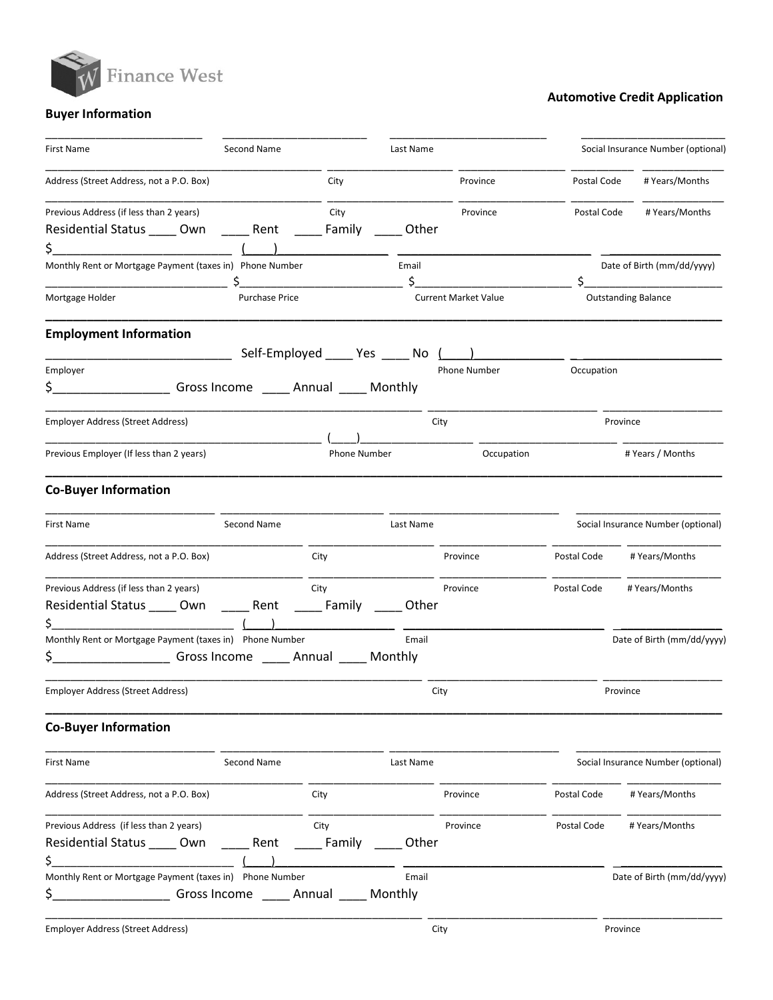

## Automotive Credit Application

# Buyer Information

| First Name                                                                                                                                                                                                          | Second Name                 |                                      | Last Name        |                             |             | Social Insurance Number (optional) |  |
|---------------------------------------------------------------------------------------------------------------------------------------------------------------------------------------------------------------------|-----------------------------|--------------------------------------|------------------|-----------------------------|-------------|------------------------------------|--|
| Address (Street Address, not a P.O. Box)                                                                                                                                                                            |                             | City                                 |                  | Province                    | Postal Code | # Years/Months                     |  |
| Previous Address (if less than 2 years)<br>Residential Status _____ Own _______ Rent _______ Family<br>\$.<br><u> 1989 - Johann Barbara, martxa alemaniar a</u>                                                     |                             | City                                 | Other            | Province                    | Postal Code | # Years/Months                     |  |
| Monthly Rent or Mortgage Payment (taxes in) Phone Number                                                                                                                                                            |                             |                                      | Email            |                             |             | Date of Birth (mm/dd/yyyy)         |  |
| Mortgage Holder                                                                                                                                                                                                     | <b>Purchase Price</b>       |                                      |                  | <b>Current Market Value</b> |             | <b>Outstanding Balance</b>         |  |
| <b>Employment Information</b><br><u> 1990 - Johann John Harry Harry Harry Harry Harry Harry Harry Harry Harry Harry Harry Harry Harry Harry Harry</u><br>Employer<br>\$_                                            |                             | Self-Employed ______ Yes ______ No [ |                  | Phone Number                | Occupation  |                                    |  |
| Employer Address (Street Address)                                                                                                                                                                                   | Gross Income Annual Monthly |                                      | City             |                             |             | Province                           |  |
| Previous Employer (If less than 2 years)                                                                                                                                                                            |                             | Phone Number                         |                  | Occupation                  |             | # Years / Months                   |  |
| <b>Co-Buyer Information</b>                                                                                                                                                                                         |                             |                                      |                  |                             |             |                                    |  |
| First Name                                                                                                                                                                                                          | Second Name                 |                                      | Last Name        |                             |             | Social Insurance Number (optional) |  |
| Address (Street Address, not a P.O. Box)                                                                                                                                                                            |                             | City                                 |                  | Province                    | Postal Code | # Years/Months                     |  |
| Previous Address (if less than 2 years)<br>Residential Status _____ Own _______ Rent<br>\$.<br><u> 1999 - Johann John Harry Harry Harry Harry Harry Harry Harry Harry Harry Harry Harry Harry Harry Harry Harry</u> |                             | City<br>_______ Family               | Other            | Province                    | Postal Code | # Years/Months                     |  |
| Monthly Rent or Mortgage Payment (taxes in) Phone Number<br>\$_                                                                                                                                                     |                             |                                      | Email            |                             |             | Date of Birth (mm/dd/yyyy)         |  |
| Employer Address (Street Address)                                                                                                                                                                                   |                             |                                      | City             |                             |             | Province                           |  |
| <b>Co-Buyer Information</b>                                                                                                                                                                                         |                             |                                      |                  |                             |             |                                    |  |
| First Name                                                                                                                                                                                                          | Second Name                 |                                      | Last Name        |                             |             | Social Insurance Number (optional) |  |
| Address (Street Address, not a P.O. Box)                                                                                                                                                                            |                             | City                                 |                  | Province                    | Postal Code | # Years/Months                     |  |
| Previous Address (if less than 2 years)<br>Residential Status _____ Own<br>\$.                                                                                                                                      | Rent                        | City<br>Family                       | Other            | Province                    | Postal Code | # Years/Months                     |  |
| Monthly Rent or Mortgage Payment (taxes in) Phone Number<br>\$.<br>Gross Income                                                                                                                                     | _____ Annual                |                                      | Email<br>Monthly |                             |             | Date of Birth (mm/dd/yyyy)         |  |